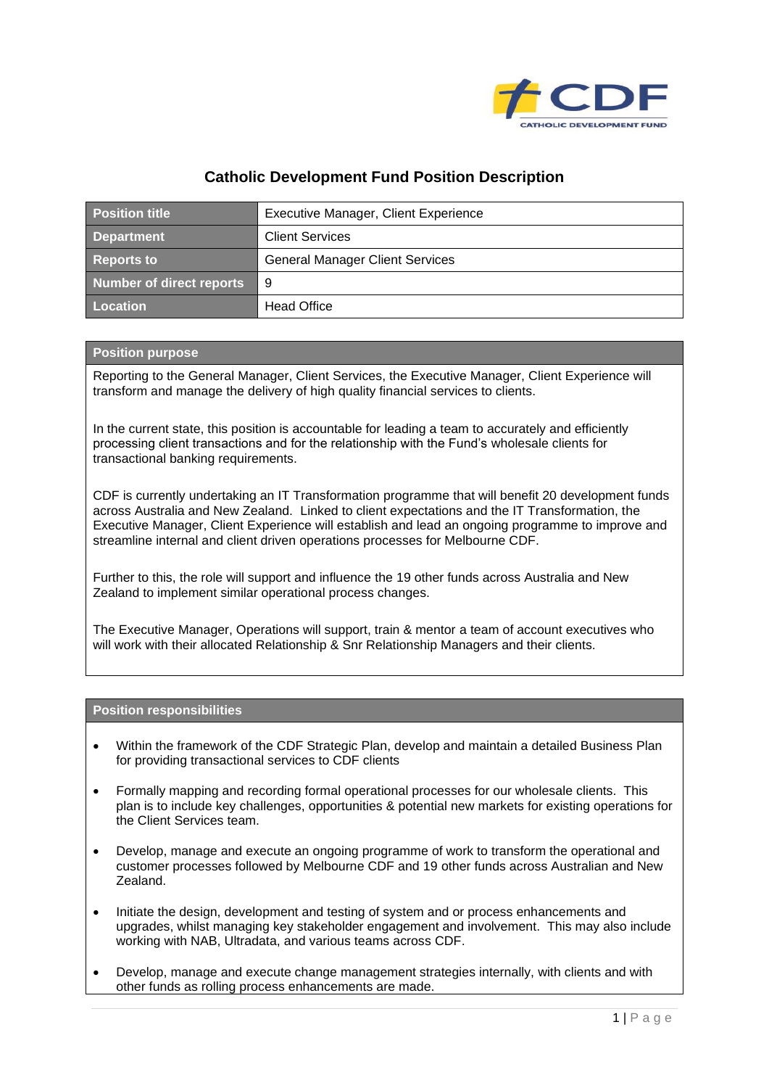

## **Catholic Development Fund Position Description**

| <b>Position title</b>    | Executive Manager, Client Experience   |
|--------------------------|----------------------------------------|
| <b>Department</b>        | <b>Client Services</b>                 |
| <b>Reports to</b>        | <b>General Manager Client Services</b> |
| Number of direct reports | - 9                                    |
| Location                 | <b>Head Office</b>                     |

## **Position purpose**

Reporting to the General Manager, Client Services, the Executive Manager, Client Experience will transform and manage the delivery of high quality financial services to clients.

In the current state, this position is accountable for leading a team to accurately and efficiently processing client transactions and for the relationship with the Fund's wholesale clients for transactional banking requirements.

CDF is currently undertaking an IT Transformation programme that will benefit 20 development funds across Australia and New Zealand. Linked to client expectations and the IT Transformation, the Executive Manager, Client Experience will establish and lead an ongoing programme to improve and streamline internal and client driven operations processes for Melbourne CDF.

Further to this, the role will support and influence the 19 other funds across Australia and New Zealand to implement similar operational process changes.

The Executive Manager, Operations will support, train & mentor a team of account executives who will work with their allocated Relationship & Snr Relationship Managers and their clients.

## **Position responsibilities**

- Within the framework of the CDF Strategic Plan, develop and maintain a detailed Business Plan for providing transactional services to CDF clients
- Formally mapping and recording formal operational processes for our wholesale clients. This plan is to include key challenges, opportunities & potential new markets for existing operations for the Client Services team.
- Develop, manage and execute an ongoing programme of work to transform the operational and customer processes followed by Melbourne CDF and 19 other funds across Australian and New Zealand.
- Initiate the design, development and testing of system and or process enhancements and upgrades, whilst managing key stakeholder engagement and involvement. This may also include working with NAB, Ultradata, and various teams across CDF.
- Develop, manage and execute change management strategies internally, with clients and with other funds as rolling process enhancements are made.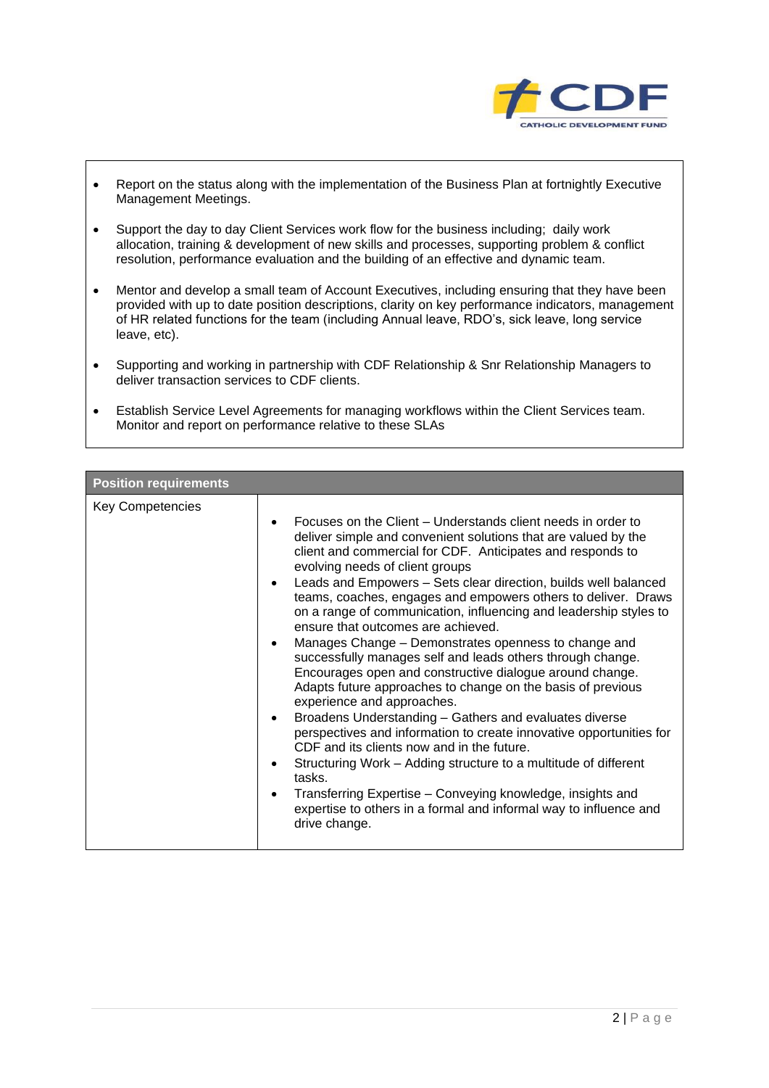

- Report on the status along with the implementation of the Business Plan at fortnightly Executive Management Meetings.
- Support the day to day Client Services work flow for the business including; daily work allocation, training & development of new skills and processes, supporting problem & conflict resolution, performance evaluation and the building of an effective and dynamic team.
- Mentor and develop a small team of Account Executives, including ensuring that they have been provided with up to date position descriptions, clarity on key performance indicators, management of HR related functions for the team (including Annual leave, RDO's, sick leave, long service leave, etc).
- Supporting and working in partnership with CDF Relationship & Snr Relationship Managers to deliver transaction services to CDF clients.
- Establish Service Level Agreements for managing workflows within the Client Services team. Monitor and report on performance relative to these SLAs

| <b>Position requirements</b> |                                                                                                                                                                                                                                                                                                                                                                                                                                                                                                                                                                                                                                                                                                                                                                                                                                                                                                                                                                                                                                                                                                                                                                                                                                             |  |
|------------------------------|---------------------------------------------------------------------------------------------------------------------------------------------------------------------------------------------------------------------------------------------------------------------------------------------------------------------------------------------------------------------------------------------------------------------------------------------------------------------------------------------------------------------------------------------------------------------------------------------------------------------------------------------------------------------------------------------------------------------------------------------------------------------------------------------------------------------------------------------------------------------------------------------------------------------------------------------------------------------------------------------------------------------------------------------------------------------------------------------------------------------------------------------------------------------------------------------------------------------------------------------|--|
| <b>Key Competencies</b>      | Focuses on the Client – Understands client needs in order to<br>$\bullet$<br>deliver simple and convenient solutions that are valued by the<br>client and commercial for CDF. Anticipates and responds to<br>evolving needs of client groups<br>Leads and Empowers - Sets clear direction, builds well balanced<br>$\bullet$<br>teams, coaches, engages and empowers others to deliver. Draws<br>on a range of communication, influencing and leadership styles to<br>ensure that outcomes are achieved.<br>Manages Change – Demonstrates openness to change and<br>٠<br>successfully manages self and leads others through change.<br>Encourages open and constructive dialogue around change.<br>Adapts future approaches to change on the basis of previous<br>experience and approaches.<br>Broadens Understanding - Gathers and evaluates diverse<br>$\bullet$<br>perspectives and information to create innovative opportunities for<br>CDF and its clients now and in the future.<br>Structuring Work - Adding structure to a multitude of different<br>$\bullet$<br>tasks.<br>Transferring Expertise - Conveying knowledge, insights and<br>٠<br>expertise to others in a formal and informal way to influence and<br>drive change. |  |